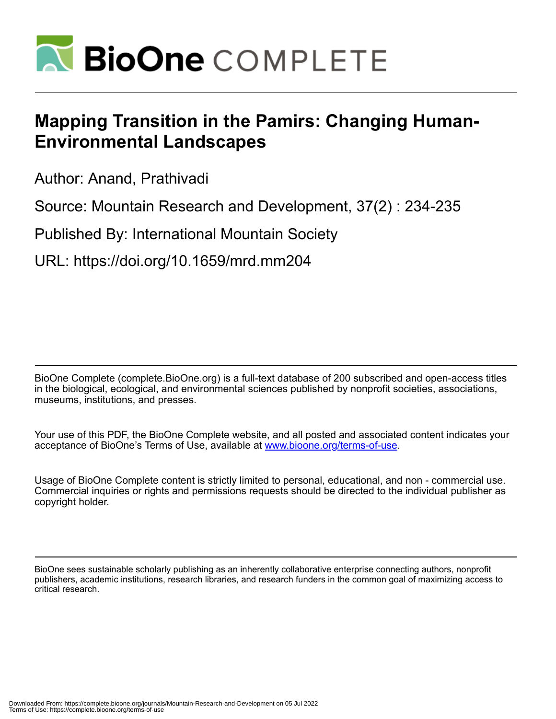

## **Mapping Transition in the Pamirs: Changing Human-Environmental Landscapes**

Author: Anand, Prathivadi

Source: Mountain Research and Development, 37(2) : 234-235

Published By: International Mountain Society

URL: https://doi.org/10.1659/mrd.mm204

BioOne Complete (complete.BioOne.org) is a full-text database of 200 subscribed and open-access titles in the biological, ecological, and environmental sciences published by nonprofit societies, associations, museums, institutions, and presses.

Your use of this PDF, the BioOne Complete website, and all posted and associated content indicates your acceptance of BioOne's Terms of Use, available at www.bioone.org/terms-of-use.

Usage of BioOne Complete content is strictly limited to personal, educational, and non - commercial use. Commercial inquiries or rights and permissions requests should be directed to the individual publisher as copyright holder.

BioOne sees sustainable scholarly publishing as an inherently collaborative enterprise connecting authors, nonprofit publishers, academic institutions, research libraries, and research funders in the common goal of maximizing access to critical research.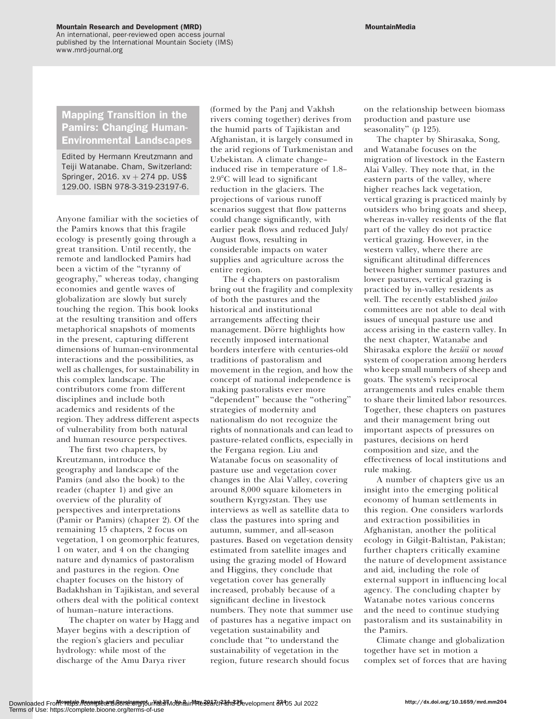## Mountain Research and Development (MRD)

An international, peer-reviewed open access journal published by the International Mountain Society (IMS) www.mrd-journal.org

## Mapping Transition in the Pamirs: Changing Human-Environmental Landscapes

Edited by Hermann Kreutzmann and Teiji Watanabe. Cham, Switzerland: Springer, 2016.  $xv + 274$  pp. US\$ 129.00. ISBN 978-3-319-23197-6.

Anyone familiar with the societies of the Pamirs knows that this fragile ecology is presently going through a great transition. Until recently, the remote and landlocked Pamirs had been a victim of the ''tyranny of geography,'' whereas today, changing economies and gentle waves of globalization are slowly but surely touching the region. This book looks at the resulting transition and offers metaphorical snapshots of moments in the present, capturing different dimensions of human-environmental interactions and the possibilities, as well as challenges, for sustainability in this complex landscape. The contributors come from different disciplines and include both academics and residents of the region. They address different aspects of vulnerability from both natural and human resource perspectives.

The first two chapters, by Kreutzmann, introduce the geography and landscape of the Pamirs (and also the book) to the reader (chapter 1) and give an overview of the plurality of perspectives and interpretations (Pamir or Pamirs) (chapter 2). Of the remaining 15 chapters, 2 focus on vegetation, 1 on geomorphic features, 1 on water, and 4 on the changing nature and dynamics of pastoralism and pastures in the region. One chapter focuses on the history of Badakhshan in Tajikistan, and several others deal with the political context of human–nature interactions.

The chapter on water by Hagg and Mayer begins with a description of the region's glaciers and peculiar hydrology: while most of the discharge of the Amu Darya river

(formed by the Panj and Vakhsh rivers coming together) derives from the humid parts of Tajikistan and Afghanistan, it is largely consumed in the arid regions of Turkmenistan and Uzbekistan. A climate change– induced rise in temperature of 1.8–  $2.9^{\circ}$ C will lead to significant reduction in the glaciers. The projections of various runoff scenarios suggest that flow patterns could change significantly, with earlier peak flows and reduced July/ August flows, resulting in considerable impacts on water supplies and agriculture across the entire region.

The 4 chapters on pastoralism bring out the fragility and complexity of both the pastures and the historical and institutional arrangements affecting their management. Dörre highlights how recently imposed international borders interfere with centuries-old traditions of pastoralism and movement in the region, and how the concept of national independence is making pastoralists ever more ''dependent'' because the ''othering'' strategies of modernity and nationalism do not recognize the rights of nonnationals and can lead to pasture-related conflicts, especially in the Fergana region. Liu and Watanabe focus on seasonality of pasture use and vegetation cover changes in the Alai Valley, covering around 8,000 square kilometers in southern Kyrgyzstan. They use interviews as well as satellite data to class the pastures into spring and autumn, summer, and all-season pastures. Based on vegetation density estimated from satellite images and using the grazing model of Howard and Higgins, they conclude that vegetation cover has generally increased, probably because of a significant decline in livestock numbers. They note that summer use of pastures has a negative impact on vegetation sustainability and conclude that ''to understand the sustainability of vegetation in the region, future research should focus

on the relationship between biomass production and pasture use seasonality" (p 125).

The chapter by Shirasaka, Song, and Watanabe focuses on the migration of livestock in the Eastern Alai Valley. They note that, in the eastern parts of the valley, where higher reaches lack vegetation, vertical grazing is practiced mainly by outsiders who bring goats and sheep, whereas in-valley residents of the flat part of the valley do not practice vertical grazing. However, in the western valley, where there are significant altitudinal differences between higher summer pastures and lower pastures, vertical grazing is practiced by in-valley residents as well. The recently established jailoo committees are not able to deal with issues of unequal pasture use and access arising in the eastern valley. In the next chapter, Watanabe and Shirasaka explore the kezüü or novad system of cooperation among herders who keep small numbers of sheep and goats. The system's reciprocal arrangements and rules enable them to share their limited labor resources. Together, these chapters on pastures and their management bring out important aspects of pressures on pastures, decisions on herd composition and size, and the effectiveness of local institutions and rule making.

A number of chapters give us an insight into the emerging political economy of human settlements in this region. One considers warlords and extraction possibilities in Afghanistan, another the political ecology in Gilgit-Baltistan, Pakistan; further chapters critically examine the nature of development assistance and aid, including the role of external support in influencing local agency. The concluding chapter by Watanabe notes various concerns and the need to continue studying pastoralism and its sustainability in the Pamirs.

Climate change and globalization together have set in motion a complex set of forces that are having